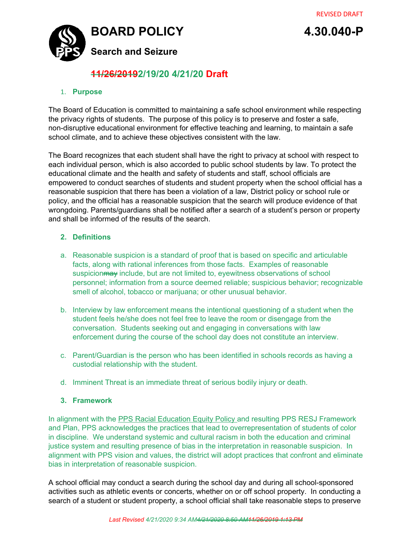

# **11/26/20192/19/20 4/21/20 Draft**

#### 1. **Purpose**

The Board of Education is committed to maintaining a safe school environment while respecting the privacy rights of students. The purpose of this policy is to preserve and foster a safe, non-disruptive educational environment for effective teaching and learning, to maintain a safe school climate, and to achieve these objectives consistent with the law.

The Board recognizes that each student shall have the right to privacy at school with respect to each individual person, which is also accorded to public school students by law. To protect the educational climate and the health and safety of students and staff, school officials are empowered to conduct searches of students and student property when the school official has a reasonable suspicion that there has been a violation of a law, District policy or school rule or policy, and the official has a reasonable suspicion that the search will produce evidence of that wrongdoing. Parents/guardians shall be notified after a search of a student's person or property and shall be informed of the results of the search.

## **2. Definitions**

- a. Reasonable suspicion is a standard of proof that is based on specific and articulable facts, along with rational inferences from those facts. Examples of reasonable suspicion may include, but are not limited to, eyewitness observations of school personnel; information from a source deemed reliable; suspicious behavior; recognizable smell of alcohol, tobacco or marijuana; or other unusual behavior.
- b. Interview by law enforcement means the intentional questioning of a student when the student feels he/she does not feel free to leave the room or disengage from the conversation. Students seeking out and engaging in conversations with law enforcement during the course of the school day does not constitute an interview.
- c. Parent/Guardian is the person who has been identified in schools records as having a custodial relationship with the student.
- d. Imminent Threat is an immediate threat of serious bodily injury or death.

#### **3. Framework**

In alignment with the PPS Racial [Education](https://docs.google.com/viewerng/viewer?url=https://www.pps.net/cms/lib/OR01913224/Centricity/Domain/4814/2.10.010-P.pdf) Equity Policy and resulting PPS RESJ Framework and Plan, PPS acknowledges the practices that lead to overrepresentation of students of color in discipline. We understand systemic and cultural racism in both the education and criminal justice system and resulting presence of bias in the interpretation in reasonable suspicion. In alignment with PPS vision and values, the district will adopt practices that confront and eliminate bias in interpretation of reasonable suspicion.

A school official may conduct a search during the school day and during all school-sponsored activities such as athletic events or concerts, whether on or off school property. In conducting a search of a student or student property, a school official shall take reasonable steps to preserve